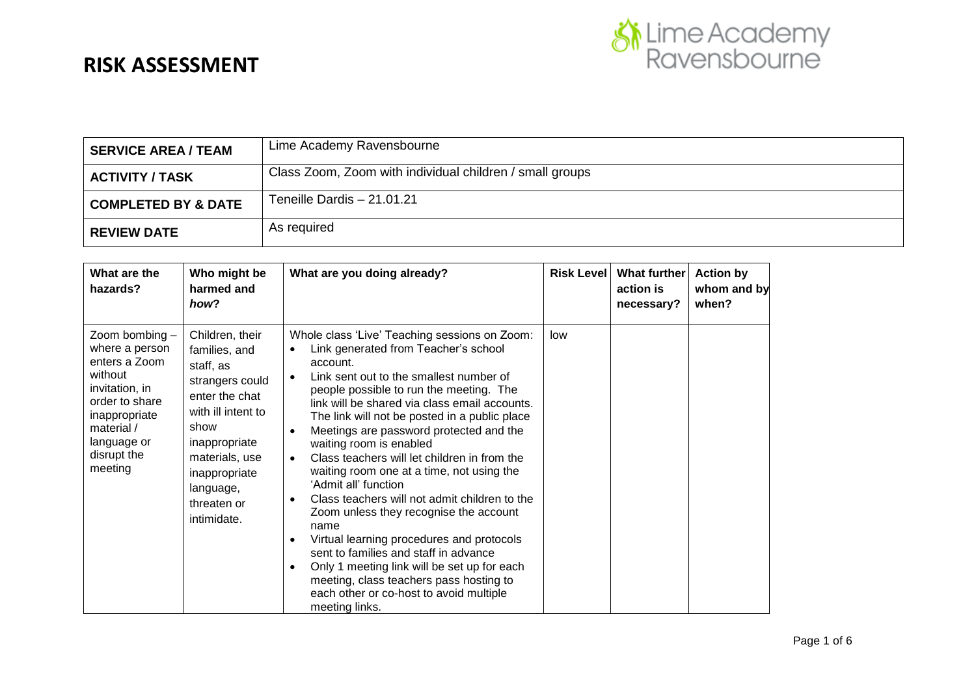

| <b>SERVICE AREA / TEAM</b>     | Lime Academy Ravensbourne                                |
|--------------------------------|----------------------------------------------------------|
| <b>ACTIVITY / TASK</b>         | Class Zoom, Zoom with individual children / small groups |
| <b>COMPLETED BY &amp; DATE</b> | Teneille Dardis - 21.01.21                               |
| <b>REVIEW DATE</b>             | As required                                              |

| What are the<br>hazards?                                                                                                                                                 | Who might be<br>harmed and<br>how?                                                                                                                                                                              | What are you doing already?                                                                                                                                                                                                                                                                                                                                                                                                                                                                                                                                                                                                                                                                                                                                                                                                                                                                                                     | <b>Risk Level</b> | What further<br>action is<br>necessary? | <b>Action by</b><br>whom and by<br>when? |
|--------------------------------------------------------------------------------------------------------------------------------------------------------------------------|-----------------------------------------------------------------------------------------------------------------------------------------------------------------------------------------------------------------|---------------------------------------------------------------------------------------------------------------------------------------------------------------------------------------------------------------------------------------------------------------------------------------------------------------------------------------------------------------------------------------------------------------------------------------------------------------------------------------------------------------------------------------------------------------------------------------------------------------------------------------------------------------------------------------------------------------------------------------------------------------------------------------------------------------------------------------------------------------------------------------------------------------------------------|-------------------|-----------------------------------------|------------------------------------------|
| Zoom bombing -<br>where a person<br>enters a Zoom<br>without<br>invitation, in<br>order to share<br>inappropriate<br>material /<br>language or<br>disrupt the<br>meeting | Children, their<br>families, and<br>staff, as<br>strangers could<br>enter the chat<br>with ill intent to<br>show<br>inappropriate<br>materials, use<br>inappropriate<br>language,<br>threaten or<br>intimidate. | Whole class 'Live' Teaching sessions on Zoom:<br>Link generated from Teacher's school<br>$\bullet$<br>account.<br>Link sent out to the smallest number of<br>$\bullet$<br>people possible to run the meeting. The<br>link will be shared via class email accounts.<br>The link will not be posted in a public place<br>Meetings are password protected and the<br>$\bullet$<br>waiting room is enabled<br>Class teachers will let children in from the<br>$\bullet$<br>waiting room one at a time, not using the<br>'Admit all' function<br>Class teachers will not admit children to the<br>$\bullet$<br>Zoom unless they recognise the account<br>name<br>Virtual learning procedures and protocols<br>$\bullet$<br>sent to families and staff in advance<br>Only 1 meeting link will be set up for each<br>$\bullet$<br>meeting, class teachers pass hosting to<br>each other or co-host to avoid multiple<br>meeting links. | low               |                                         |                                          |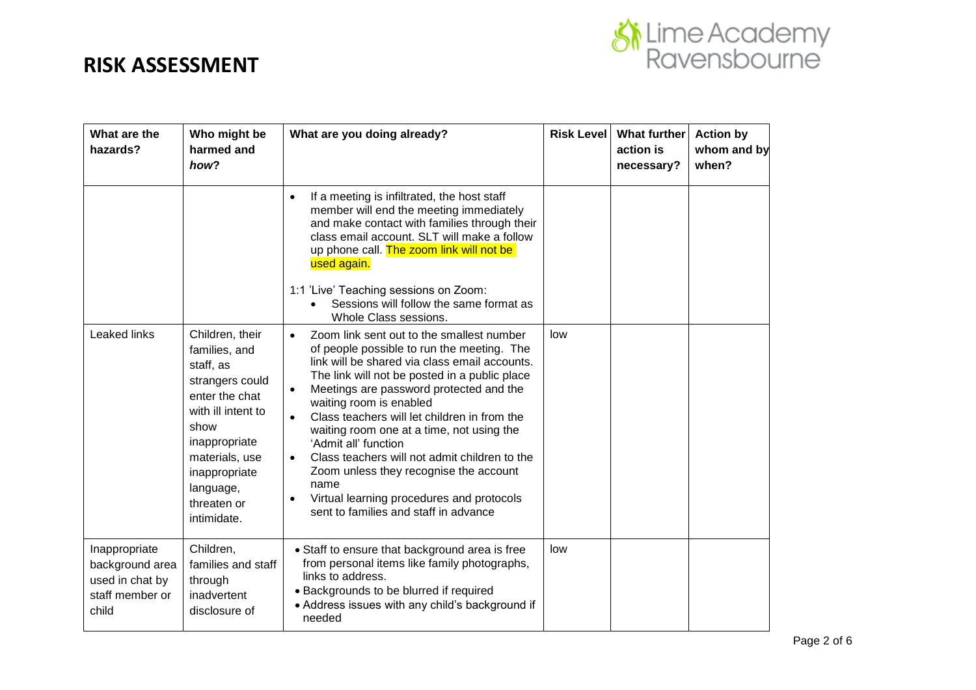

| What are the<br>hazards?                                                        | Who might be<br>harmed and<br>how?                                                                                                                                                                              | What are you doing already?                                                                                                                                                                                                                                                                                                                                                                                                                                                                                                                                                                                                       | <b>Risk Level</b> | What further<br>action is<br>necessary? | <b>Action by</b><br>whom and by<br>when? |
|---------------------------------------------------------------------------------|-----------------------------------------------------------------------------------------------------------------------------------------------------------------------------------------------------------------|-----------------------------------------------------------------------------------------------------------------------------------------------------------------------------------------------------------------------------------------------------------------------------------------------------------------------------------------------------------------------------------------------------------------------------------------------------------------------------------------------------------------------------------------------------------------------------------------------------------------------------------|-------------------|-----------------------------------------|------------------------------------------|
|                                                                                 |                                                                                                                                                                                                                 | If a meeting is infiltrated, the host staff<br>$\bullet$<br>member will end the meeting immediately<br>and make contact with families through their<br>class email account. SLT will make a follow<br>up phone call. The zoom link will not be<br>used again.<br>1:1 'Live' Teaching sessions on Zoom:<br>Sessions will follow the same format as<br>Whole Class sessions.                                                                                                                                                                                                                                                        |                   |                                         |                                          |
| Leaked links                                                                    | Children, their<br>families, and<br>staff, as<br>strangers could<br>enter the chat<br>with ill intent to<br>show<br>inappropriate<br>materials, use<br>inappropriate<br>language,<br>threaten or<br>intimidate. | Zoom link sent out to the smallest number<br>$\bullet$<br>of people possible to run the meeting. The<br>link will be shared via class email accounts.<br>The link will not be posted in a public place<br>Meetings are password protected and the<br>$\bullet$<br>waiting room is enabled<br>Class teachers will let children in from the<br>$\bullet$<br>waiting room one at a time, not using the<br>'Admit all' function<br>Class teachers will not admit children to the<br>Zoom unless they recognise the account<br>name<br>Virtual learning procedures and protocols<br>$\bullet$<br>sent to families and staff in advance | low               |                                         |                                          |
| Inappropriate<br>background area<br>used in chat by<br>staff member or<br>child | Children,<br>families and staff<br>through<br>inadvertent<br>disclosure of                                                                                                                                      | • Staff to ensure that background area is free<br>from personal items like family photographs,<br>links to address.<br>· Backgrounds to be blurred if required<br>• Address issues with any child's background if<br>needed                                                                                                                                                                                                                                                                                                                                                                                                       | low               |                                         |                                          |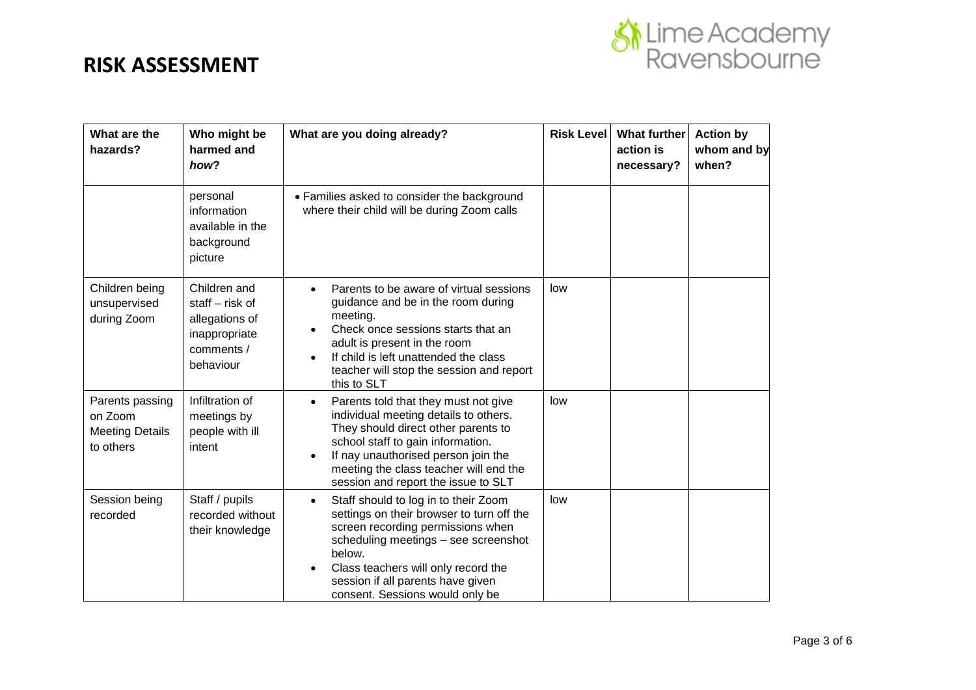

| What are the<br>hazards?                                          | Who might be<br>harmed and<br>how?                                                              | What are you doing already?                                                                                                                                                                                                                                                                          | <b>Risk Level</b> | What further<br>action is<br>necessary? | <b>Action by</b><br>whom and by<br>when? |
|-------------------------------------------------------------------|-------------------------------------------------------------------------------------------------|------------------------------------------------------------------------------------------------------------------------------------------------------------------------------------------------------------------------------------------------------------------------------------------------------|-------------------|-----------------------------------------|------------------------------------------|
|                                                                   | personal<br>information<br>available in the<br>background<br>picture                            | • Families asked to consider the background<br>where their child will be during Zoom calls                                                                                                                                                                                                           |                   |                                         |                                          |
| Children being<br>unsupervised<br>during Zoom                     | Children and<br>staff $-$ risk of<br>allegations of<br>inappropriate<br>comments /<br>behaviour | Parents to be aware of virtual sessions<br>guidance and be in the room during<br>meeting.<br>Check once sessions starts that an<br>adult is present in the room<br>If child is left unattended the class<br>teacher will stop the session and report<br>this to SLT                                  | low               |                                         |                                          |
| Parents passing<br>on Zoom<br><b>Meeting Details</b><br>to others | Infiltration of<br>meetings by<br>people with ill<br>intent                                     | Parents told that they must not give<br>$\bullet$<br>individual meeting details to others.<br>They should direct other parents to<br>school staff to gain information.<br>If nay unauthorised person join the<br>meeting the class teacher will end the<br>session and report the issue to SLT       | low               |                                         |                                          |
| Session being<br>recorded                                         | Staff / pupils<br>recorded without<br>their knowledge                                           | Staff should to log in to their Zoom<br>$\bullet$<br>settings on their browser to turn off the<br>screen recording permissions when<br>scheduling meetings - see screenshot<br>below.<br>Class teachers will only record the<br>session if all parents have given<br>consent. Sessions would only be | low               |                                         |                                          |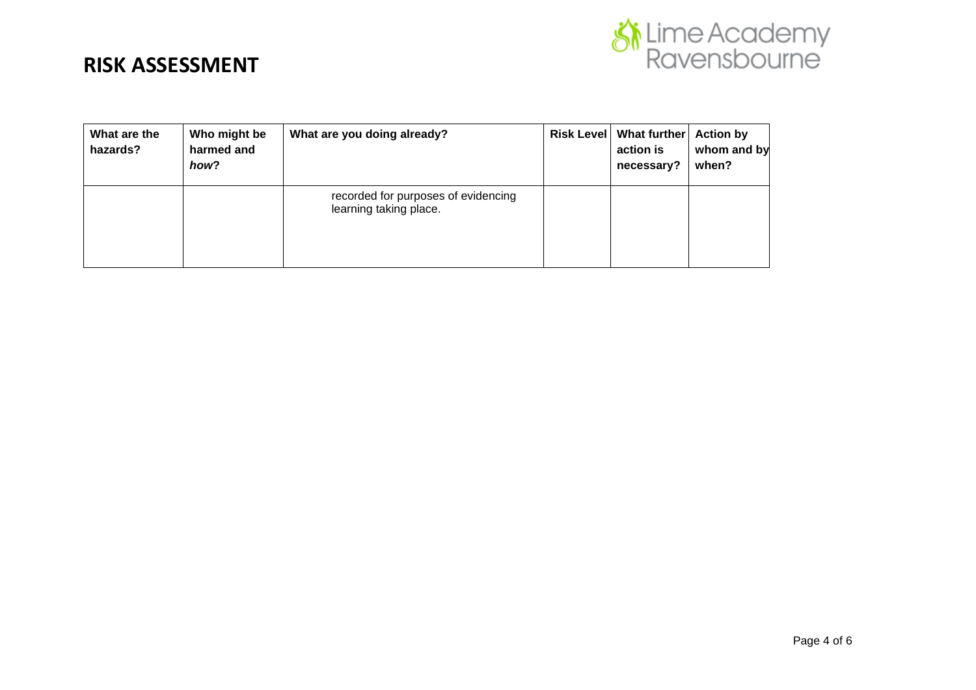

| What are the<br>hazards? | Who might be<br>harmed and<br>how? | What are you doing already?                                   | Risk Level   What further   Action by<br>action is<br>necessary? | whom and by<br>when? |
|--------------------------|------------------------------------|---------------------------------------------------------------|------------------------------------------------------------------|----------------------|
|                          |                                    | recorded for purposes of evidencing<br>learning taking place. |                                                                  |                      |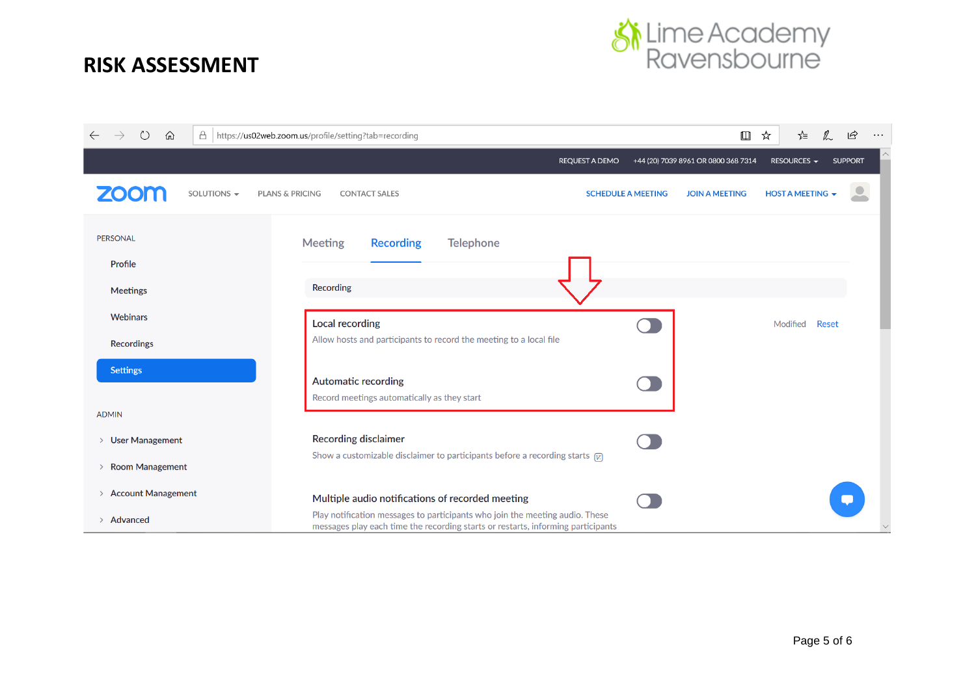

| O<br>仚                                  | A   https://us02web.zoom.us/profile/setting?tab=recording                                                                                                        |                           | $\square$                           | ☆<br>☆                          | $\mathbb{Z}$<br>$\overrightarrow{P}$<br>$\ldots$ |
|-----------------------------------------|------------------------------------------------------------------------------------------------------------------------------------------------------------------|---------------------------|-------------------------------------|---------------------------------|--------------------------------------------------|
|                                         | REQUEST A DEMO                                                                                                                                                   |                           | +44 (20) 7039 8961 OR 0800 368 7314 | RESOURCES $\blacktriangleright$ | <b>SUPPORT</b>                                   |
| <b>ZOOM</b><br>SOLUTIONS -              | <b>PLANS &amp; PRICING</b><br><b>CONTACT SALES</b>                                                                                                               | <b>SCHEDULE A MEETING</b> | <b>JOIN A MEETING</b>               | <b>HOST A MEETING +</b>         |                                                  |
| <b>PERSONAL</b><br>Profile              | <b>Meeting</b><br><b>Telephone</b><br><b>Recording</b>                                                                                                           |                           |                                     |                                 |                                                  |
| <b>Meetings</b>                         | Recording                                                                                                                                                        |                           |                                     |                                 |                                                  |
| <b>Webinars</b>                         | <b>Local recording</b>                                                                                                                                           |                           |                                     | Modified                        | <b>Reset</b>                                     |
| <b>Recordings</b>                       | Allow hosts and participants to record the meeting to a local file                                                                                               |                           |                                     |                                 |                                                  |
| <b>Settings</b>                         | <b>Automatic recording</b><br>Record meetings automatically as they start                                                                                        |                           |                                     |                                 |                                                  |
| <b>ADMIN</b>                            |                                                                                                                                                                  |                           |                                     |                                 |                                                  |
| <b>User Management</b><br>$\rightarrow$ | <b>Recording disclaimer</b>                                                                                                                                      |                           |                                     |                                 |                                                  |
| <b>Room Management</b><br>$\rightarrow$ | Show a customizable disclaimer to participants before a recording starts $\boxed{\mathcal{V}}$                                                                   |                           |                                     |                                 |                                                  |
| > Account Management                    | Multiple audio notifications of recorded meeting                                                                                                                 |                           |                                     |                                 |                                                  |
| > Advanced                              | Play notification messages to participants who join the meeting audio. These<br>messages play each time the recording starts or restarts, informing participants |                           |                                     |                                 |                                                  |